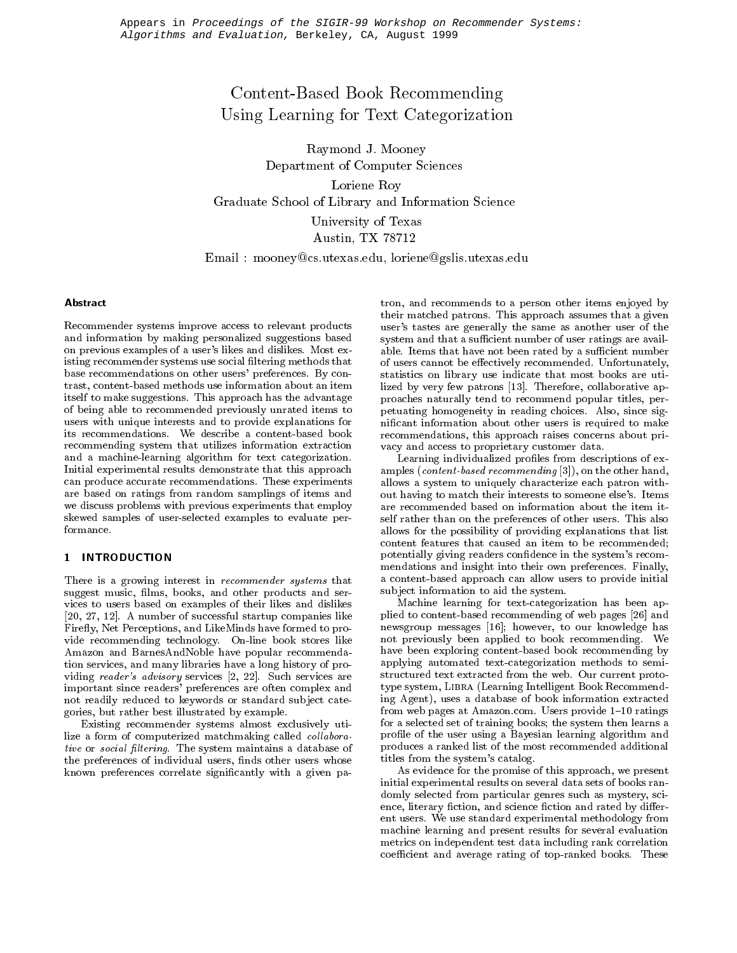content-Based Book Records Book Records Using Learning for Text Categorization

Raymond J. Mooney Department of Computer Sciences Loriene Roy Graduate School of Library and Information Science University of Texas Austin, TX 78712

Email : mooney@cs.utexas.edu, loriene@gslis.utexas.edu

#### Abstract

Recommender systems improve access to relevant products and information by making personalized suggestions based on previous examples of a user's likes and dislikes. Most existing recommender systems use social filtering methods that base recommendations on other users' preferences. By contrast, content-based methods use information about an item itself to make suggestions. This approach has the advantage of being able to recommended previously unrated items to users with unique interests and to provide explanations for its recommendations. We describe a content-based book recommending system that utilizes information extraction and a machine-learning algorithm for text categorization. Initial experimental results demonstrate that this approach can produce accurate recommendations. These experiments are based on ratings from random samplings of items and we discuss problems with previous experiments that employ skewed samples of user-selected examples to evaluate performance.

# 1 INTRODUCTION

There is a growing interest in recommender systems that suggest music, films, books, and other products and services to users based on examples of their likes and dislikes [20, 27, 12]. A number of successful startup companies like Firefly, Net Perceptions, and LikeMinds have formed to provide recommending technology. On-line book stores like Amazon and BarnesAndNoble have popular recommendation services, and many libraries have a long history of providing reader's advisory services [2, 22]. Such services are important since readers' preferences are often complex and not readily reduced to keywords or standard subject categories, but rather best illustrated by example.

Existing recommender systems almost exclusively utilize a form of computerized matchmaking called *collabora*tive or social filtering. The system maintains a database of the preferences of individual users, finds other users whose known preferences correlate signicantly with a given patron, and recommends to a person other items enjoyed by their matched patrons. This approach assumes that a given user's tastes are generally the same as another user of the system and that a sufficient number of user ratings are available. Items that have not been rated by a sufficient number of users cannot be effectively recommended. Unfortunately, statistics on library use indicate that most books are utilized by very few patrons [13]. Therefore, collaborative approaches naturally tend to recommend popular titles, perpetuating homogeneity in reading choices. Also, since signicant information about other users is required to make recommendations, this approach raises concerns about pri vacy and access to proprietary customer data.

Learning individualized profiles from descriptions of examples (content-based recommending [3]), on the other hand, allows a system to uniquely characterize each patron without having to match their interests to someone else's. Items are recommended based on information about the item itself rather than on the preferences of other users. This also allows for the possibility of providing explanations that list content features that caused an item to be recommended; potentially giving readers confidence in the system's recommendations and insight into their own preferences. Finally, a content-based approach can allow users to provide initial subject information to aid the system.

Machine learning for text-categorization has been applied to content-based recommending of web pages [26] and newsgroup messages [16]; however, to our knowledge has not previously been applied to book recommending. We have been exploring content-based book recommending by applying automated text-categorization methods to semistructured text extracted from the web. Our current prototype system, Libra (Learning Intelligent Book Recommending Agent), uses a database of book information extracted from web pages at Amazon.com. Users provide 1-10 ratings for a selected set of training books; the system then learns a profile of the user using a Bayesian learning algorithm and produces a ranked list of the most recommended additional titles from the system's catalog.

As evidence for the promise of this approach, we present initial experimental results on several data sets of books randomly selected from particular genres such as mystery, science, literary fiction, and science fiction and rated by different users. We use standard experimental methodology from machine learning and present results for several evaluation metrics on independent test data including rank correlation coefficient and average rating of top-ranked books. These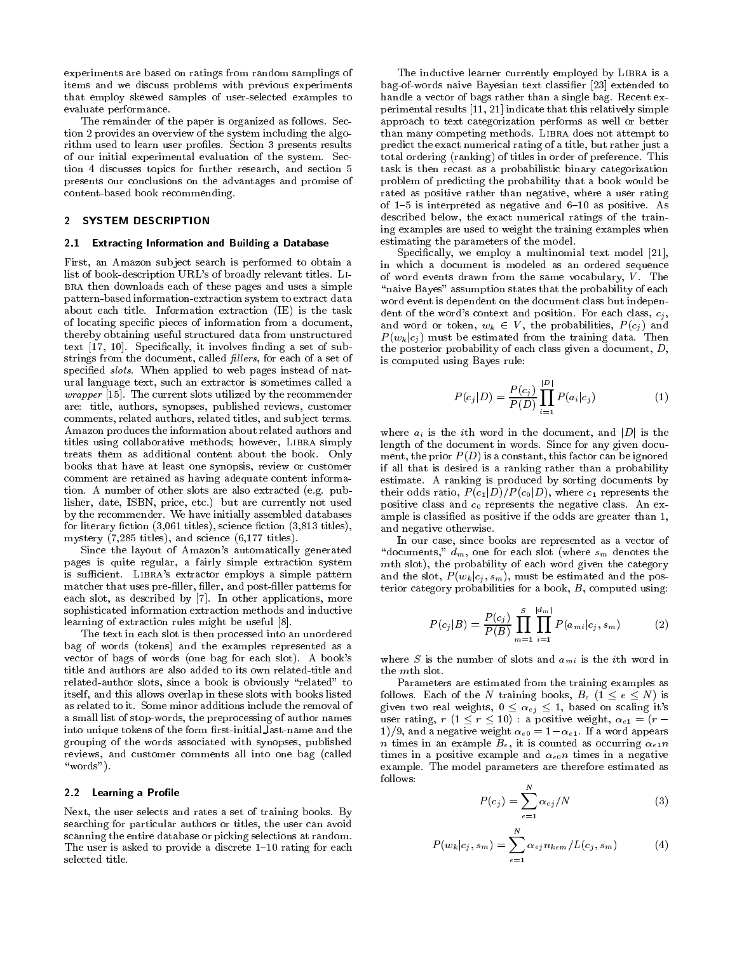experiments are based on ratings from random samplings of items and we discuss problems with previous experiments that employ skewed samples of user-selected examples to evaluate performance.

The remainder of the paper is organized as follows. Section 2 provides an overview of the system including the algorithm used to learn user profiles. Section 3 presents results of our initial experimental evaluation of the system. Section 4 discusses topics for further research, and section 5 presents our conclusions on the advantages and promise of content-based book recommending.

# 2 SYSTEM DESCRIPTION

#### 2.1 Extracting Information and Building a Database

First, an Amazon subject search is performed to obtain a list of book-description URL's of broadly relevant titles. Libra then downloads each of these pages and uses a simple pattern-based information-extraction system to extract data about each title. Information extraction (IE) is the task of locating specic pieces of information from a document, thereby obtaining useful structured data from unstructured text [17, 10]. Specifically, it involves finding a set of substrings from the document, called *fillers*, for each of a set of specified *slots*. When applied to web pages instead of natural language text, such an extractor is sometimes called a wrapper [15]. The current slots utilized by the recommender are: title, authors, synopses, published reviews, customer comments, related authors, related titles, and subject terms. Amazon produces the information about related authors and titles using collaborative methods; however, Libra simply treats them as additional content about the book. Only books that have at least one synopsis, review or customer comment are retained as having adequate content information. A number of other slots are also extracted (e.g. publisher, date, ISBN, price, etc.) but are currently not used by the recommender. We have initially assembled databases for literary fiction  $(3,061)$  titles), science fiction  $(3,813)$  titles), mystery (7,285 titles), and science (6,177 titles).

Since the layout of Amazon's automatically generated pages is quite regular, a fairly simple extraction system is sufficient. LIBRA's extractor employs a simple pattern matcher that uses pre-filler, filler, and post-filler patterns for each slot, as described by [7]. In other applications, more sophisticated information extraction methods and inductive learning of extraction rules might be useful [8].

The text in each slot is then processed into an unordered bag of words (tokens) and the examples represented as a vector of bags of words (one bag for each slot). A book's title and authors are also added to its own related-title and related-author slots, since a book is obviously "related" to itself, and this allows overlap in these slots with books listed as related to it. Some minor additions include the removal of a small list of stop-words, the preprocessing of author names into unique tokens of the form first-initial last-name and the grouping of the words associated with synopses, published reviews, and customer comments all into one bag (called " $\text{words}$ ").

#### 2.2 Learning a Profile

Next, the user selects and rates a set of training books. By searching for particular authors or titles, the user can avoid scanning the entire database or picking selections at random. The user is asked to provide a discrete  $1-10$  rating for each selected title.

The inductive learner currently employed by LIBRA is a bag-of-words naive Bayesian text classier [23] extended to handle a vector of bags rather than a single bag. Recent experimental results [11, 21] indicate that this relatively simple approach to text categorization performs as well or better than many competing methods. Libra does not attempt to predict the exact numerical rating of a title, but rather just a total ordering (ranking) of titles in order of preference. This task is then recast as a probabilistic binary categorization problem of predicting the probability that a book would be rated as positive rather than negative, where a user rating of  $1-5$  is interpreted as negative and  $6-10$  as positive. As described below, the exact numerical ratings of the training examples are used to weight the training examples when estimating the parameters of the model.

Specifically, we employ a multinomial text model [21], in which a document is modeled as an ordered sequence of word events drawn from the same vocabulary, V. The "naive Bayes" assumption states that the probability of each word event is dependent on the document class but independent of the word's context and position. For each class,  $c_i$ , and word or token,  $w_k \in V$ , the probabilities,  $P(c_i)$  and  $P$  (wkicji indice be estimated in the training data. Then  $P$ the posterior probability of each class given a document, D, is computed using Bayes rule:

$$
P(c_j|D) = \frac{P(c_j)}{P(D)} \prod_{i=1}^{|D|} P(a_i|c_j)
$$
 (1)

where  $a_i$  is the *i*th word in the document, and  $|D|$  is the length of the document in words. Since for any given docu ment, the prior  $P(D)$  is a constant, this factor can be ignored if all that is desired is a ranking rather than a probability estimate. A ranking is produced by sorting documents by their odds ratio,  $P(c_1|D)/P(c_0|D)$ , where  $c_1$  represents the positive class and  $c_0$  represents the negative class. An example is classied as positive if the odds are greater than 1, and negative otherwise.

In our case, since books are represented as a vector of "documents,"  $d_m$ , one for each slot (where  $s_m$  denotes the mth slot), the probability of each word given the category and the slot,  $P(w_k|c_j, s_m)$ , must be estimated and the posterior category probabilities for a book,  $B$ , computed using:

$$
P(c_j|B) = \frac{P(c_j)}{P(B)} \prod_{m=1}^{S} \prod_{i=1}^{|d_m|} P(a_{mi}|c_j, s_m)
$$
 (2)

where  $S$  is the number of slots and  $a_{mi}$  is the *i*th word in the mth slot.

Parameters are estimated from the training examples as follows. Each of the N training books,  $B_e$   $(1 \le e \le N)$  is given two real weights,  $0 \leq \alpha_{ej} \leq 1$ , based on scaling it's user rating,  $r$   $(1 \le r \le 10)$ : a positive weight,  $\alpha_{e1} = (r -$ 1)/9, and a negative weight  $\alpha_{e0} = 1-\alpha_{e1}$ . If a word appears  $\alpha$  chines in an example  $\omega_0$ , it is counted as occurring  $\omega_0$  for times in a positive example and  $\alpha_{e0}n$  times in a negative example. The model parameters are therefore estimated as follows:

$$
P(c_j) = \sum_{e=1}^{N} \alpha_{ej} / N \tag{3}
$$

$$
P(w_k|c_j, s_m) = \sum_{e=1}^{N} \alpha_{ej} n_{kem} / L(c_j, s_m)
$$
 (4)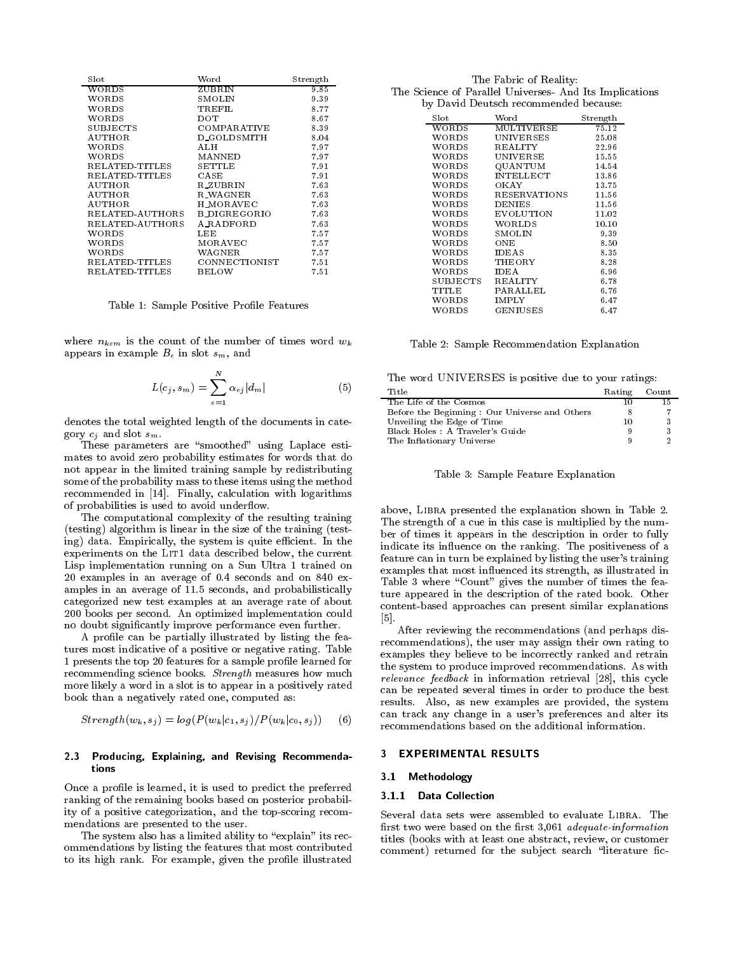| Slot.           | Word             | Strength |
|-----------------|------------------|----------|
| WORDS           | ZUBRIN           | 9.85     |
| WORDS           | SMOLIN           | 9.39     |
| WORDS           | TREFIL           | 8.77     |
| WORDS           | DOT              | 8.67     |
| <b>SUBJECTS</b> | COMPARATIVE      | 8.39     |
| AUTHOR.         | D_GOLDSMITH_     | 8.04     |
| WORDS           | ALH.             | 7.97     |
| WORDS           | <b>MANNED</b>    | 7.97     |
| RELATED TITLES  | SETTLE           | 7.91     |
| RELATED TITLES  | CASE             | 7.91     |
| AUTHOR.         | R_ZUBRIN         | 7.63     |
| AUTHOR.         | R WAGNER         | 7.63     |
| AUTHOR.         | <b>H_MORAVEC</b> | 7.63     |
| RELATED AUTHORS | B_DIGREGORIO     | 7.63     |
| RELATED-AUTHORS | A_RADFORD        | 7.63     |
| WORDS           | LEE              | 7.57     |
| WORDS           | MORAVEC          | 7.57     |
| WORDS           | WAGNER.          | 7.57     |
| RELATED TITLES  | CONNECTIONIST    | 7.51     |
| RELATED TITLES  | BELOW            | 7.51     |

Table 1: Sample Positive Profile Features

where  $n_{kem}$  is the count of the number of times word  $w_k$ appears in example  $B_e$  in slot  $s_m$ , and

$$
L(c_j, s_m) = \sum_{e=1}^{N} \alpha_{ej} |d_m|
$$
 (5)

denotes the total weighted length of the documents in category  $c_i$  and slot  $s_m$ .

These parameters are "smoothed" using Laplace estimates to avoid zero probability estimates for words that do not appear in the limited training sample by redistributing some of the probability mass to these items using the method recommended in [14]. Finally, calculation with logarithms of probabilities is used to avoid underflow.

The computational complexity of the resulting training (testing) algorithm is linear in the size of the training (testing) data. Empirically, the system is quite efficient. In the experiments on the LIT1 data described below, the current Lisp implementation running on a Sun Ultra 1 trained on 20 examples in an average of 0.4 seconds and on 840 ex amples in an average of 11.5 seconds, and probabilistically categorized new test examples at an average rate of about 200 books per second. An optimized implementation could no doubt signicantly improve performance even further.

A profile can be partially illustrated by listing the features most indicative of a positive or negative rating. Table 1 presents the top 20 features for a sample profile learned for recommending science books. Strength measures how much more likely a word in a slot is to appear in a positively rated book than a negatively rated one, computed as:

$$
Strength(w_k, s_j) = log(P(w_k|c_1, s_j)/P(w_k|c_0, s_j)) \quad (6)
$$

#### 2.3 Producing, Explaining, and Revising Recommendations

Once a profile is learned, it is used to predict the preferred ranking of the remaining books based on posterior probability of a positive categorization, and the top-scoring recommendations are presented to the user.

The system also has a limited ability to "explain" its recommendations by listing the features that most contributed to its high rank. For example, given the profile illustrated

| The Fabric of Reality:                                  |  |
|---------------------------------------------------------|--|
| The Science of Parallel Universes- And Its Implications |  |
| hy David Deutsch recommended because                    |  |

| Slot<br>Word<br>Strength<br>WORDS<br>MULTIVERSE<br>75.12<br>WORDS<br><b>UNIVERSES</b><br>25.08<br>WORDS<br><b>REALITY</b><br>22.96<br><b>UNIVERSE</b><br>WORDS<br>15.55<br>WORDS<br>QUANTUM<br>14.54<br>WORDS.<br><b>INTELLECT</b><br>13.86<br>WORDS<br>OK AY<br>13.75<br><b>WORDS</b><br><b>RESERVATIONS</b><br>11.56<br><b>WORDS</b><br><b>DENIES</b><br>11.56<br><b>EVOLUTION</b><br>WORDS.<br>11.02<br><b>WORDS</b><br>WORLDS<br>10.10 |
|--------------------------------------------------------------------------------------------------------------------------------------------------------------------------------------------------------------------------------------------------------------------------------------------------------------------------------------------------------------------------------------------------------------------------------------------|
|                                                                                                                                                                                                                                                                                                                                                                                                                                            |
|                                                                                                                                                                                                                                                                                                                                                                                                                                            |
|                                                                                                                                                                                                                                                                                                                                                                                                                                            |
|                                                                                                                                                                                                                                                                                                                                                                                                                                            |
|                                                                                                                                                                                                                                                                                                                                                                                                                                            |
|                                                                                                                                                                                                                                                                                                                                                                                                                                            |
|                                                                                                                                                                                                                                                                                                                                                                                                                                            |
|                                                                                                                                                                                                                                                                                                                                                                                                                                            |
|                                                                                                                                                                                                                                                                                                                                                                                                                                            |
|                                                                                                                                                                                                                                                                                                                                                                                                                                            |
|                                                                                                                                                                                                                                                                                                                                                                                                                                            |
|                                                                                                                                                                                                                                                                                                                                                                                                                                            |
| <b>WORDS</b><br>SMOLIN<br>9.39                                                                                                                                                                                                                                                                                                                                                                                                             |
| WORDS.<br>ONE<br>8.50                                                                                                                                                                                                                                                                                                                                                                                                                      |
| WORDS<br>IDEAS<br>8.35                                                                                                                                                                                                                                                                                                                                                                                                                     |
| WORDS.<br><b>THEORY</b><br>8.28                                                                                                                                                                                                                                                                                                                                                                                                            |
| WORDS<br>IDEA<br>6.96                                                                                                                                                                                                                                                                                                                                                                                                                      |
| SUBJECTS<br>REALITY<br>6.78                                                                                                                                                                                                                                                                                                                                                                                                                |
| <b>PARALLEL</b><br>TITL E<br>6.76                                                                                                                                                                                                                                                                                                                                                                                                          |
| WORDS<br>IMPLY<br>6.47                                                                                                                                                                                                                                                                                                                                                                                                                     |
| <b>GENIUSES</b><br>WORDS<br>6.47                                                                                                                                                                                                                                                                                                                                                                                                           |

Table 2: Sample Recommendation Explanation

The word UNIVERSES is positive due to your ratings:

| 'Title                                         | $R_{\rm at1B}$ g | Count |  |
|------------------------------------------------|------------------|-------|--|
| The Life of the Cosmos                         | 10               | 15    |  |
| Before the Beginning : Our Universe and Others |                  |       |  |
| Unveiling the Edge of Time                     | 10               |       |  |
| Black Holes: A Traveler's Guide                |                  | 3     |  |
| The Inflationary Universe                      |                  |       |  |
|                                                |                  |       |  |

Table 3: Sample Feature Explanation

above, Libra presented the explanation shown in Table 2. The strength of a cue in this case is multiplied by the num ber of times it appears in the description in order to fully indicate its influence on the ranking. The positiveness of a feature can in turn be explained by listing the user's training examples that most influenced its strength, as illustrated in Table 3 where "Count" gives the number of times the feature appeared in the description of the rated book. Other content-based approaches can present similar explanations  $[5]$ 

After reviewing the recommendations (and perhaps disrecommendations), the user may assign their own rating to examples they believe to be incorrectly ranked and retrain the system to produce improved recommendations. As with relevance feedback in information retrieval [28], this cycle can be repeated several times in order to produce the best results. Also, as new examples are provided, the system can track any change in a user's preferences and alter its recommendations based on the additional information.

# 3 EXPERIMENTAL RESULTS

#### 3.1 Methodology

#### 3.1.1 Data Collection

Several data sets were assembled to evaluate Libra. The first two were based on the first 3,061 adequate-information titles (books with at least one abstract, review, or customer comment) returned for the subject search "literature fic-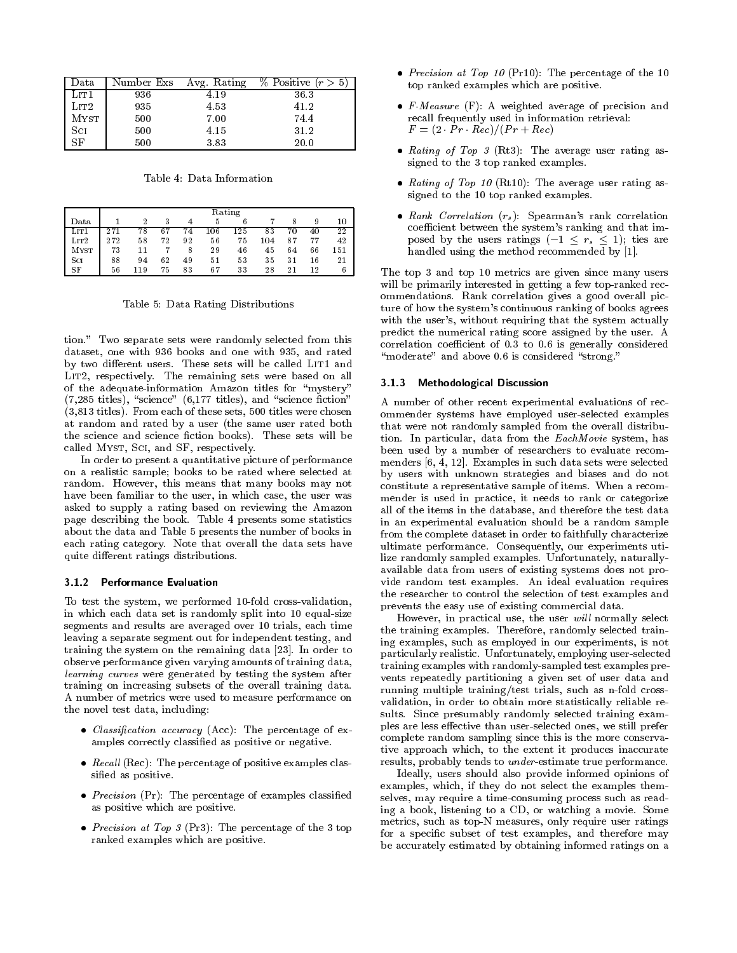| Data                  | Number Exs | Avg. Rating | $\%$ Positive $(r > 5)$ |
|-----------------------|------------|-------------|-------------------------|
| LIT 1                 | 936        | 4.19        | 36.3                    |
| LIT2                  | 935        | 4.53        | 41.2                    |
| <b>MYST</b>           | 500        | 7.00        | 74.4                    |
| $_{\rm SF}^{\rm Sci}$ | 500        | 4.15        | 31.2                    |
|                       | 500        | 3.83        | 20.0                    |

Table 4: Data Information

|               | Rating |     |    |    |     |     |     |    |    |     |
|---------------|--------|-----|----|----|-----|-----|-----|----|----|-----|
| $_{\rm Data}$ |        | 2   | 3  |    | 5   | 6   |     | 8  | 9  | 10  |
| $L$ IT $1$    | 271    | 78  | 67 | 74 | 106 | 125 | 83  | 70 | 40 | 22  |
| LIT2          | 272    | 58  | 72 | 92 | 56  | 75  | 104 | 87 | 77 | 42  |
| <b>MYST</b>   | 73     |     | 7  | 8  | 29  | 46  | 45  | 64 | 66 | 151 |
| Sci           | 88     | 94  | 62 | 49 | 51  | 53  | 35  | 31 | 16 | 21  |
| SF            | 56     | 119 | 75 | 83 | 67  | 33  | 28  | 21 | 12 | 6   |

Table 5: Data Rating Distributions

tion." Two separate sets were randomly selected from this dataset, one with 936 books and one with 935, and rated by two different users. These sets will be called LIT1 and LIT2, respectively. The remaining sets were based on all  $\frac{1}{2}$ . 3.1.3 of the adequate-information Amazon titles for "mystery"  $(7,285 \text{ titles})$ , "science"  $(6,177 \text{ titles})$ , and "science fiction" (3,813 titles). From each of these sets, 500 titles were chosen at random and rated by a user (the same user rated both the science and science fiction books). These sets will be called Myst, Sci, and SF, respectively.

In order to present a quantitative picture of performance on a realistic sample; books to be rated where selected at random. However, this means that many books may not have been familiar to the user, in which case, the user was asked to supply a rating based on reviewing the Amazon page describing the book. Table 4 presents some statistics about the data and Table 5 presents the number of books in each rating category. Note that overall the data sets have quite different ratings distributions.

#### 3.1.2 Performance Evaluation

To test the system, we performed 10-fold cross-validation, in which each data set is randomly split into 10 equal-size segments and results are averaged over 10 trials, each time leaving a separate segment out for independent testing, and training the system on the remaining data [23]. In order to observe performance given varying amounts of training data, learning curves were generated by testing the system after training on increasing subsets of the overall training data. A number of metrics were used to measure performance on the novel test data, including:

- *Classification accuracy* (Acc): The percentage of examples correctly classied as positive or negative.
- $Recall$  (Rec): The percentage of positive examples classified as positive.
- $\bullet$  Precision (Pr): The percentage of examples classified as positive which are positive.
- Precision at Top 3 (Pr3): The percentage of the 3 top ranked examples which are positive.
- Precision at Top 10 (Pr10): The percentage of the 10 top ranked examples which are positive.
- F-Measure (F): A weighted average of precision and recall frequently used in information retrieval:  $F = (2 + 1 + \text{Rec})/(1 + \text{Rec})$
- Rating of Top  $3$  (Rt3): The average user rating assigned to the 3 top ranked examples.
- Rating of Top 10 (Rt10): The average user rating assigned to the 10 top ranked examples.
- Rank Correlation  $(r_s)$ : Spearman's rank correlation coefficient between the system's ranking and that imposed by the users ratings  $(-1 \leq r_s \leq 1)$ ; ties are handled using the method recommended by [1].

The top 3 and top 10 metrics are given since many users will be primarily interested in getting a few top-ranked recommendations. Rank correlation gives a good overall picture of how the system's continuous ranking of books agrees with the user's, without requiring that the system actually predict the numerical rating score assigned by the user. A correlation coefficient of  $0.3$  to  $0.6$  is generally considered "moderate" and above 0.6 is considered "strong."

#### **Methodological Discussion**

A number of other recent experimental evaluations of recommender systems have employed user-selected examples that were not randomly sampled from the overall distribution. In particular, data from the EachMovie system, has been used by a number of researchers to evaluate recom menders [6, 4, 12]. Examples in such data sets were selected by users with unknown strategies and biases and do not constitute a representative sample of items. When a recommender is used in practice, it needs to rank or categorize all of the items in the database, and therefore the test data in an experimental evaluation should be a random sample from the complete dataset in order to faithfully characterize ultimate performance. Consequently, our experiments utilize randomly sampled examples. Unfortunately, naturally available data from users of existing systems does not provide random test examples. An ideal evaluation requires the researcher to control the selection of test examples and prevents the easy use of existing commercial data.

However, in practical use, the user will normally select the training examples. Therefore, randomly selected training examples, such as employed in our experiments, is not particularly realistic. Unfortunately, employing user-selected training examples with randomly-sampled test examples pre vents repeatedly partitioning a given set of user data and running multiple training/test trials, such as n-fold cross validation, in order to obtain more statistically reliable results. Since presumably randomly selected training examples are less effective than user-selected ones, we still prefer complete random sampling since this is the more conserva tive approach which, to the extent it produces inaccurate results, probably tends to under-estimate true performance.

Ideally, users should also provide informed opinions of examples, which, if they do not select the examples themselves, may require a time-consuming process such as reading a book, listening to a CD, or watching a movie. Some metrics, such as top-N measures, only require user ratings for a specific subset of test examples, and therefore may be accurately estimated by obtaining informed ratings on a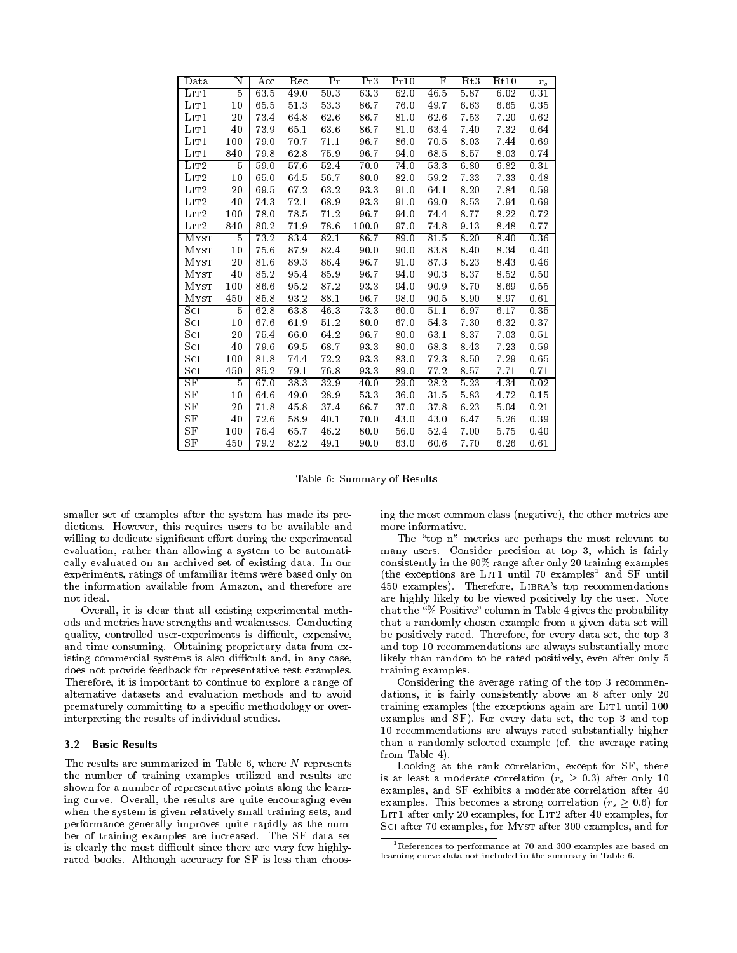| Data             | Ν              | Acc      | Rec  | Pr   | Pr3   | Pr10 | F    | Rt3  | Rt10 | $r_s$ |
|------------------|----------------|----------|------|------|-------|------|------|------|------|-------|
| $L$ IT $1$       | 5              | 63.5     | 49.0 | 50.3 | 63.3  | 62.0 | 46.5 | 5.87 | 6.02 | 0.31  |
| LIT1             | 10             | 65.5     | 51.3 | 533  | 86.7  | 76.0 | 49.7 | 6.63 | 6.65 | 0.35  |
| LIT1             | 20             | 73.4     | 64.8 | 62.6 | 86.7  | 81.0 | 62.6 | 7.53 | 7.20 | 0.62  |
| LIT1             | 40             | 73.9     | 65.1 | 63.6 | 86.7  | 81.0 | 63.4 | 7.40 | 7.32 | 0.64  |
| L <sub>IT1</sub> | 100            | 79.0     | 70.7 | 71.1 | 96.7  | 86.0 | 70.5 | 8.03 | 7.44 | 0.69  |
| LIT1             | 840            | 79.8     | 62.8 | 75.9 | 96.7  | 94.0 | 68.5 | 8.57 | 8.03 | 0.74  |
| LIT2             | 5              | 59.0     | 57.6 | 52.4 | 70.0  | 74.0 | 53.3 | 6.80 | 6.82 | 0.31  |
| LIT2             | 10             | 65.0     | 64.5 | 56.7 | 80.0  | 82.0 | 59.2 | 7.33 | 7.33 | 0.48  |
| LIT2             | 20             | 69.5     | 67.2 | 63.2 | 93.3  | 91.0 | 64.1 | 8.20 | 7.84 | 0.59  |
| LIT2             | 40             | 74.3     | 72.1 | 68.9 | 93.3  | 91.0 | 69.0 | 8.53 | 7.94 | 0.69  |
| LIT2             | 100            | 78.0     | 78.5 | 71.2 | 96.7  | 94.0 | 74.4 | 8.77 | 8.22 | 0.72  |
| LIT2             | 840            | 80.2     | 71.9 | 78.6 | 100.0 | 97.0 | 74.8 | 9.13 | 8.48 | 0.77  |
| MYST             | 5              | 73.2     | 83.4 | 82.1 | 86.7  | 89.0 | 81.5 | 8.20 | 8.40 | 0.36  |
| MYST             | 10             | 75.6     | 87.9 | 82.4 | 90.0  | 90.0 | 83.8 | 8.40 | 8.34 | 0.40  |
| <b>MYST</b>      | 20             | 81.6     | 89.3 | 86.4 | 96.7  | 91.0 | 87.3 | 8.23 | 8.43 | 0.46  |
| MYST             | 40             | 85.2     | 95.4 | 85.9 | 96.7  | 94.0 | 90.3 | 8.37 | 8.52 | 0.50  |
| MYST             | 100            | 86.6     | 95.2 | 87.2 | 93.3  | 94.0 | 90.9 | 8.70 | 8.69 | 0.55  |
| MYST             | 450            | 85.8     | 93.2 | 88.1 | 96.7  | 98.0 | 90.5 | 8.90 | 8.97 | 0.61  |
| $_{\rm Scr}$     | $\overline{5}$ | 62.8     | 63.8 | 46.3 | 73.3  | 60.0 | 51.1 | 6.97 | 6.17 | 0.35  |
| $_{\rm Scr}$     | 10             | 67.6     | 61.9 | 51.2 | 80.0  | 67.0 | 54.3 | 7.30 | 6.32 | 0.37  |
| Sci              | 20             | 75.4     | 66.0 | 64.2 | 96.7  | 80.0 | 63.1 | 8.37 | 7.03 | 0.51  |
| $_{\rm Scr}$     | 40             | 79.6     | 69.5 | 68.7 | 93.3  | 80.0 | 68.3 | 8.43 | 7.23 | 0.59  |
| Sci              | 100            | 81.8     | 74.4 | 72.2 | 93.3  | 83.0 | 72.3 | 8.50 | 7.29 | 0.65  |
| $_{\rm Sci}$     | 450            | $85.2\,$ | 79.1 | 76.8 | 93.3  | 89.0 | 77.2 | 8.57 | 7.71 | 0.71  |
| $_{\rm SF}$      | 5              | 67.0     | 38.3 | 32.9 | 40.0  | 29.0 | 28.2 | 5.23 | 4.34 | 0.02  |
| SF               | 10             | 64.6     | 49.0 | 28.9 | 53.3  | 36.0 | 31.5 | 5.83 | 4.72 | 0.15  |
| SF               | 20             | 71.8     | 45.8 | 37.4 | 66.7  | 37.0 | 37.8 | 6.23 | 5.04 | 0.21  |
| SF               | 40             | 72.6     | 58.9 | 40.1 | 70.0  | 43.0 | 43.0 | 6.47 | 5.26 | 0.39  |
| SF               | 100            | 76.4     | 65.7 | 46.2 | 80.0  | 56.0 | 52.4 | 7.00 | 5.75 | 0.40  |
| SF               | 450            | 79.2     | 82.2 | 49.1 | 90.0  | 63.0 | 60.6 | 7.70 | 6.26 | 0.61  |

Table 6: Summary of Results

smaller set of examples after the system has made its predictions. However, this requires users to be available and willing to dedicate significant effort during the experimental evaluation, rather than allowing a system to be automatically evaluated on an archived set of existing data. In our experiments, ratings of unfamiliar items were based only on the information available from Amazon, and therefore are not ideal.

Overall, it is clear that all existing experimental methods and metrics have strengths and weaknesses. Conducting quality, controlled user-experiments is difficult, expensive, and time consuming. Obtaining proprietary data from existing commercial systems is also difficult and, in any case, does not provide feedback for representative test examples. Therefore, it is important to continue to explore a range of alternative datasets and evaluation methods and to avoid prematurely committing to a specic methodology or overinterpreting the results of individual studies.

#### 3.2 Basic Results

The results are summarized in Table 6, where N represents the number of training examples utilized and results are shown for a number of representative points along the learning curve. Overall, the results are quite encouraging even when the system is given relatively small training sets, and performance generally improves quite rapidly as the num ber of training examples are increased. The SF data set is clearly the most difficult since there are very few highlyrated books. Although accuracy for SF is less than choosing the most common class (negative), the other metrics are more informative.

The "top n" metrics are perhaps the most relevant to many users. Consider precision at top 3, which is fairly consistently in the 90% range after only 20 training examples (the exceptions are LIT1 until 70 examples<sup>1</sup> and SF until 450 examples). Therefore, Libra's top recommendations are highly likely to be viewed positively by the user. Note that the "% Positive" column in Table 4 gives the probability that a randomly chosen example from a given data set will be positively rated. Therefore, for every data set, the top 3 and top 10 recommendations are always substantially more likely than random to be rated positively, even after only 5 training examples.

Considering the average rating of the top 3 recommendations, it is fairly consistently above an 8 after only 20 training examples (the exceptions again are LIT1 until 100 examples and SF). For every data set, the top 3 and top 10 recommendations are always rated substantially higher than a randomly selected example (cf. the average rating from Table 4).

Looking at the rank correlation, except for SF, there is at least a moderate correlation  $(r_s > 0.3)$  after only 10 examples, and SF exhibits a moderate correlation after 40 examples. This becomes a strong correlation  $(r_s \geq 0.6)$  for LIT1 after only 20 examples, for LIT2 after 40 examples, for Sci after 70 examples, for Myst after 300 examples, and for

 $^1\rm{References}$  to performance at 70 and 300 examples are based on learning curve data not included in the summary in Table 6.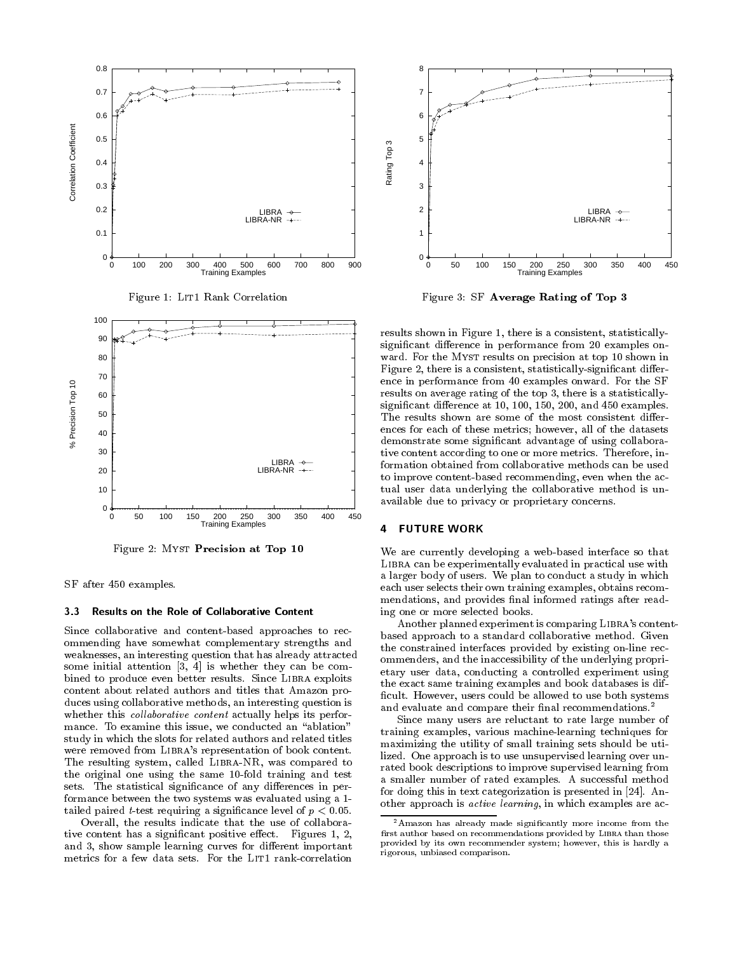

Figure 2: MYST Precision at Top 10

SF after 450 examples.

#### 3.3 Results on the Role of Collaborative Content

Since collaborative and content-based approaches to rec ommending have somewhat complementary strengths and weaknesses, an interesting question that has already attracted some initial attention [3, 4] is whether they can be com bined to produce even better results. Since LIBRA exploits content about related authors and titles that Amazon produces using collaborative methods, an interesting question is whether this *collaborative content* actually helps its performance. To examine this issue, we conducted an "ablation" study in which the slots for related authors and related titles were removed from Libra's representation of book content. The resulting system, called Libra-NR, was compared to the original one using the same 10-fold training and test sets. The statistical significance of any differences in performance between the two systems was evaluated using a 1 tailed paired *t*-test requiring a significance level of  $p < 0.05$ .

Overall, the results indicate that the use of collaborative content has a significant positive effect. Figures  $1, 2,$ and 3, show sample learning curves for different important metrics for a few data sets. For the LIT1 rank-correlation



Figure 3: SF Average Rating of Top 3

results shown in Figure 1, there is a consistent, statisticallysignificant difference in performance from 20 examples onward. For the Myst results on precision at top 10 shown in Figure 2, there is a consistent, statistically-significant difference in performance from 40 examples onward. For the SF results on average rating of the top 3, there is a statisticallysignificant difference at 10, 100, 150, 200, and 450 examples. The results shown are some of the most consistent differences for each of these metrics; however, all of the datasets demonstrate some signicant advantage of using collaborative content according to one or more metrics. Therefore, information obtained from collaborative methods can be used to improve content-based recommending, even when the actual user data underlying the collaborative method is un available due to privacy or proprietary concerns.

### 4 FUTURE WORK

We are currently developing a web-based interface so that Libra can be experimentally evaluated in practical use with a larger body of users. We plan to conduct a study in which each user selects their own training examples, obtains recommendations, and provides final informed ratings after reading one or more selected books.

Another planned experiment is comparing Libra's contentbased approach to a standard collaborative method. Given the constrained interfaces provided by existing on-line recommenders, and the inaccessibility of the underlying proprietary user data, conducting a controlled experiment using the exact same training examples and book databases is dif ficult. However, users could be allowed to use both systems and evaluate and compare their final recommendations.<sup>2</sup>

Since many users are reluctant to rate large number of training examples, various machine-learning techniques for maximizing the utility of small training sets should be utilized. One approach is to use unsupervised learning over un rated book descriptions to improve supervised learning from a smaller number of rated examples. A successful method for doing this in text categorization is presented in [24]. Another approach is active learning, in which examples are ac-

<sup>2</sup>Amazon has already made signicantly more income from the first author based on recommendations provided by LIBRA than those provided by its own recommender system; however, this is hardly a rigorous, unbiased comparison.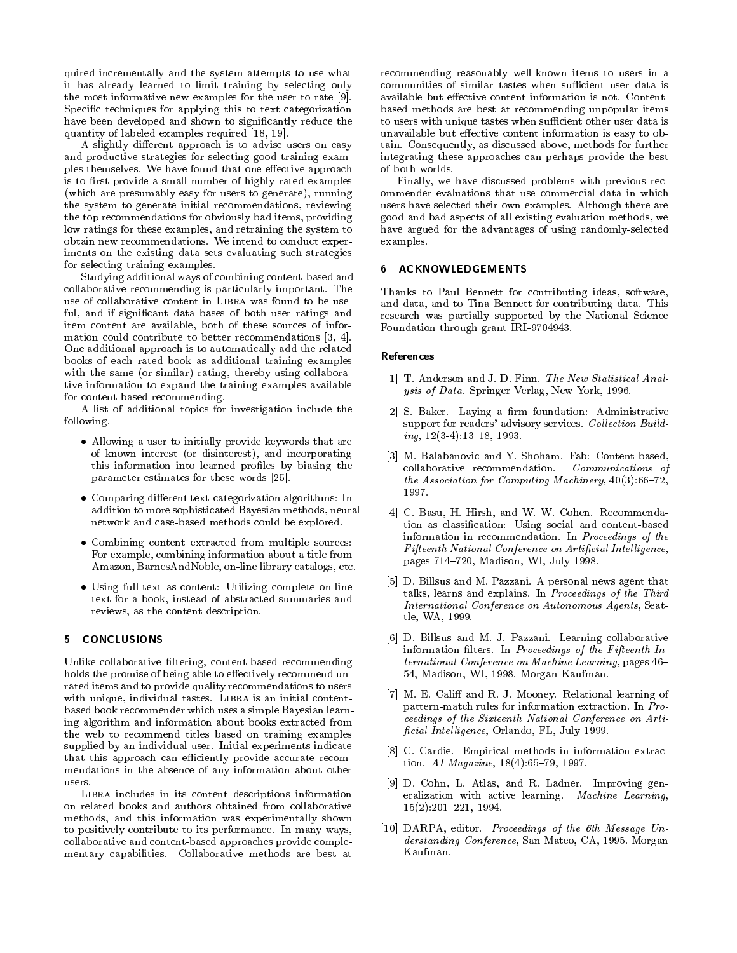quired incrementally and the system attempts to use what it has already learned to limit training by selecting only the most informative new examples for the user to rate [9]. Specic techniques for applying this to text categorization have been developed and shown to significantly reduce the quantity of labeled examples required [18, 19].

A slightly different approach is to advise users on easy and productive strategies for selecting good training examples themselves. We have found that one effective approach is to first provide a small number of highly rated examples (which are presumably easy for users to generate), running the system to generate initial recommendations, reviewing the top recommendations for obviously bad items, providing low ratings for these examples, and retraining the system to obtain new recommendations. We intend to conduct experiments on the existing data sets evaluating such strategies for selecting training examples.

Studying additional ways of combining content-based and collaborative recommending is particularly important. The use of collaborative content in Libra was found to be useful, and if signicant data bases of both user ratings and item content are available, both of these sources of information could contribute to better recommendations [3, 4]. One additional approach is to automatically add the related books of each rated book as additional training examples with the same (or similar) rating, thereby using collaborative information to expand the training examples available for content-based recommending.

A list of additional topics for investigation include the following.

- Allowing a user to initially provide keywords that are of known interest (or disinterest), and incorporating this information into learned profiles by biasing the parameter estimates for these words [25].
- Comparing different text-categorization algorithms: In addition to more sophisticated Bayesian methods, neuralnetwork and case-based methods could be explored.
- Combining content extracted from multiple sources: For example, combining information about a title from Amazon, BarnesAndNoble, on-line library catalogs, etc.
- Using full-text as content: Utilizing complete on-line text for a book, instead of abstracted summaries and reviews, as the content description.

# 5 CONCLUSIONS

Unlike collaborative ltering, content-based recommending holds the promise of being able to effectively recommend unrated items and to provide quality recommendations to users with unique, individual tastes. LIBRA is an initial contentbased book recommender which uses a simple Bayesian learning algorithm and information about books extracted from the web to recommend titles based on training examples supplied by an individual user. Initial experiments indicate that this approach can efficiently provide accurate recommendations in the absence of any information about other users.

Libra includes in its content descriptions information on related books and authors obtained from collaborative methods, and this information was experimentally shown to positively contribute to its performance. In many ways, collaborative and content-based approaches provide comple mentary capabilities. Collaborative methods are best at

recommending reasonably well-known items to users in a communities of similar tastes when sufficient user data is available but effective content information is not. Contentbased methods are best at recommending unpopular items to users with unique tastes when sufficient other user data is unavailable but effective content information is easy to obtain. Consequently, as discussed above, methods for further integrating these approaches can perhaps provide the best of both worlds.

Finally, we have discussed problems with previous recommender evaluations that use commercial data in which users have selected their own examples. Although there are good and bad aspects of all existing evaluation methods, we have argued for the advantages of using randomly-selected examples.

#### 6 ACKNOWLEDGEMENTS

Thanks to Paul Bennett for contributing ideas, software, and data, and to Tina Bennett for contributing data. This research was partially supported by the National Science Foundation through grant IRI-9704943.

# References

- [1] T. Anderson and J. D. Finn. The New Statistical Analysis of Data. Springer Verlag, New York, 1996.
- [2] S. Baker. Laying a firm foundation: Administrative support for readers' advisory services. Collection Build $ing, 12(3-4):13-18, 1993.$
- [3] M. Balabanovic and Y. Shoham. Fab: Content-based, collaborative recommendation. Communications of the Association for Computing Machinery,  $40(3):66-72$ , 1997.
- [4] C. Basu, H. Hirsh, and W. W. Cohen. Recommendation as classication: Using social and content-based information in recommendation. In Proceedings of the Fifteenth National Conference on Artificial Intelligence, pages 714-720, Madison, WI, July 1998.
- [5] D. Billsus and M. Pazzani. A personal news agent that talks, learns and explains. In Proceedings of the Third International Conference on Autonomous Agents, Seattle, WA, 1999.
- [6] D. Billsus and M. J. Pazzani. Learning collaborative information filters. In Proceedings of the Fifteenth International Conference on Machine Learning, pages 46-54, Madison, WI, 1998. Morgan Kaufman.
- [7] M. E. Califf and R. J. Mooney. Relational learning of pattern-match rules for information extraction. In Pro ceedings of the Sixteenth National Conference on Arti ficial Intelligence, Orlando, FL, July 1999.
- [8] C. Cardie. Empirical methods in information extraction. AI Magazine,  $18(4):65{-}79$ , 1997.
- [9] D. Cohn, L. Atlas, and R. Ladner. Improving generalization with active learning. Machine Learning,  $15(2):201-221, 1994.$
- [10] DARPA, editor. Proceedings of the 6th Message Understanding Conference, San Mateo, CA, 1995. Morgan Kaufman.